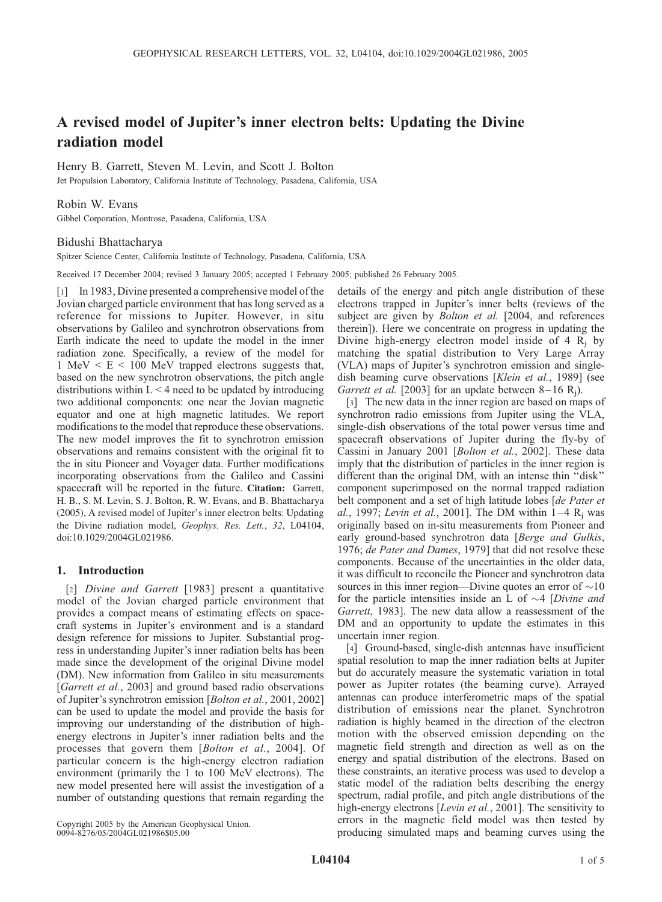# A revised model of Jupiter's inner electron belts: Updating the Divine radiation model

Henry B. Garrett, Steven M. Levin, and Scott J. Bolton

Jet Propulsion Laboratory, California Institute of Technology, Pasadena, California, USA

## Robin W. Evans

Gibbel Corporation, Montrose, Pasadena, California, USA

#### Bidushi Bhattacharya

Spitzer Science Center, California Institute of Technology, Pasadena, California, USA

Received 17 December 2004; revised 3 January 2005; accepted 1 February 2005; published 26 February 2005.

[1] In 1983, Divine presented a comprehensive model of the Jovian charged particle environment that has long served as a reference for missions to Jupiter. However, in situ observations by Galileo and synchrotron observations from Earth indicate the need to update the model in the inner radiation zone. Specifically, a review of the model for 1 MeV < E < 100 MeV trapped electrons suggests that, based on the new synchrotron observations, the pitch angle distributions within  $L < 4$  need to be updated by introducing two additional components: one near the Jovian magnetic equator and one at high magnetic latitudes. We report modifications to the model that reproduce these observations. The new model improves the fit to synchrotron emission observations and remains consistent with the original fit to the in situ Pioneer and Voyager data. Further modifications incorporating observations from the Galileo and Cassini spacecraft will be reported in the future. Citation: Garrett, H. B., S. M. Levin, S. J. Bolton, R. W. Evans, and B. Bhattacharya (2005), A revised model of Jupiter's inner electron belts: Updating the Divine radiation model, Geophys. Res. Lett., 32, L04104, doi:10.1029/2004GL021986.

### 1. Introduction

[2] *Divine and Garrett* [1983] present a quantitative model of the Jovian charged particle environment that provides a compact means of estimating effects on spacecraft systems in Jupiter's environment and is a standard design reference for missions to Jupiter. Substantial progress in understanding Jupiter's inner radiation belts has been made since the development of the original Divine model (DM). New information from Galileo in situ measurements [*Garrett et al.*, 2003] and ground based radio observations of Jupiter's synchrotron emission [*Bolton et al.*, 2001, 2002] can be used to update the model and provide the basis for improving our understanding of the distribution of highenergy electrons in Jupiter's inner radiation belts and the processes that govern them [Bolton et al., 2004]. Of particular concern is the high-energy electron radiation environment (primarily the 1 to 100 MeV electrons). The new model presented here will assist the investigation of a number of outstanding questions that remain regarding the

details of the energy and pitch angle distribution of these electrons trapped in Jupiter's inner belts (reviews of the subject are given by *Bolton et al.* [2004, and references therein]). Here we concentrate on progress in updating the Divine high-energy electron model inside of 4  $R_i$  by matching the spatial distribution to Very Large Array (VLA) maps of Jupiter's synchrotron emission and singledish beaming curve observations [Klein et al., 1989] (see Garrett et al. [2003] for an update between  $8-16$  R<sub>i</sub>).

[3] The new data in the inner region are based on maps of synchrotron radio emissions from Jupiter using the VLA, single-dish observations of the total power versus time and spacecraft observations of Jupiter during the fly-by of Cassini in January 2001 [Bolton et al., 2002]. These data imply that the distribution of particles in the inner region is different than the original DM, with an intense thin ''disk'' component superimposed on the normal trapped radiation belt component and a set of high latitude lobes [de Pater et al., 1997; Levin et al., 2001]. The DM within  $1-4 R_i$  was originally based on in-situ measurements from Pioneer and early ground-based synchrotron data [Berge and Gulkis, 1976; de Pater and Dames, 1979] that did not resolve these components. Because of the uncertainties in the older data, it was difficult to reconcile the Pioneer and synchrotron data sources in this inner region—Divine quotes an error of  $\sim$ 10 for the particle intensities inside an L of  $\sim$ 4 [Divine and Garrett, 1983]. The new data allow a reassessment of the DM and an opportunity to update the estimates in this uncertain inner region.

[4] Ground-based, single-dish antennas have insufficient spatial resolution to map the inner radiation belts at Jupiter but do accurately measure the systematic variation in total power as Jupiter rotates (the beaming curve). Arrayed antennas can produce interferometric maps of the spatial distribution of emissions near the planet. Synchrotron radiation is highly beamed in the direction of the electron motion with the observed emission depending on the magnetic field strength and direction as well as on the energy and spatial distribution of the electrons. Based on these constraints, an iterative process was used to develop a static model of the radiation belts describing the energy spectrum, radial profile, and pitch angle distributions of the high-energy electrons [*Levin et al.*, 2001]. The sensitivity to errors in the magnetic field model was then tested by producing simulated maps and beaming curves using the

Copyright 2005 by the American Geophysical Union. 0094-8276/05/2004GL021986\$05.00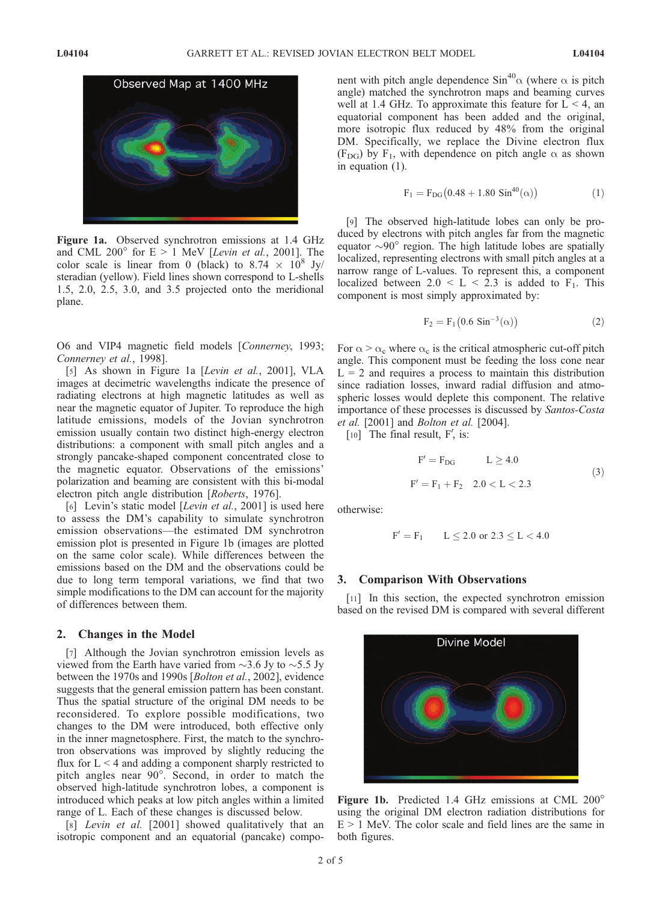

Figure 1a. Observed synchrotron emissions at 1.4 GHz and CML 200 $^{\circ}$  for E > 1 MeV [Levin et al., 2001]. The color scale is linear from 0 (black) to 8.74  $\times$  10<sup>8</sup> Jy/ steradian (yellow). Field lines shown correspond to L-shells 1.5, 2.0, 2.5, 3.0, and 3.5 projected onto the meridional plane.

O6 and VIP4 magnetic field models [Connerney, 1993; Connerney et al., 1998].

[5] As shown in Figure 1a [Levin et al., 2001], VLA images at decimetric wavelengths indicate the presence of radiating electrons at high magnetic latitudes as well as near the magnetic equator of Jupiter. To reproduce the high latitude emissions, models of the Jovian synchrotron emission usually contain two distinct high-energy electron distributions: a component with small pitch angles and a strongly pancake-shaped component concentrated close to the magnetic equator. Observations of the emissions' polarization and beaming are consistent with this bi-modal electron pitch angle distribution [Roberts, 1976].

[6] Levin's static model [*Levin et al.*, 2001] is used here to assess the DM's capability to simulate synchrotron emission observations—the estimated DM synchrotron emission plot is presented in Figure 1b (images are plotted on the same color scale). While differences between the emissions based on the DM and the observations could be due to long term temporal variations, we find that two simple modifications to the DM can account for the majority of differences between them.

#### 2. Changes in the Model

[7] Although the Jovian synchrotron emission levels as viewed from the Earth have varied from  $\sim$ 3.6 Jy to  $\sim$ 5.5 Jy between the 1970s and 1990s [Bolton et al., 2002], evidence suggests that the general emission pattern has been constant. Thus the spatial structure of the original DM needs to be reconsidered. To explore possible modifications, two changes to the DM were introduced, both effective only in the inner magnetosphere. First, the match to the synchrotron observations was improved by slightly reducing the flux for  $L < 4$  and adding a component sharply restricted to pitch angles near 90°. Second, in order to match the observed high-latitude synchrotron lobes, a component is introduced which peaks at low pitch angles within a limited range of L. Each of these changes is discussed below.

[8] *Levin et al.* [2001] showed qualitatively that an isotropic component and an equatorial (pancake) component with pitch angle dependence  $\sin^{40}\alpha$  (where  $\alpha$  is pitch angle) matched the synchrotron maps and beaming curves well at 1.4 GHz. To approximate this feature for  $L < 4$ , an equatorial component has been added and the original, more isotropic flux reduced by 48% from the original DM. Specifically, we replace the Divine electron flux (F<sub>DG</sub>) by F<sub>1</sub>, with dependence on pitch angle  $\alpha$  as shown in equation (1).

$$
F_1 = F_{DG}(0.48 + 1.80 \sin^{40}(\alpha))
$$
 (1)

[9] The observed high-latitude lobes can only be produced by electrons with pitch angles far from the magnetic equator  $\sim 90^\circ$  region. The high latitude lobes are spatially localized, representing electrons with small pitch angles at a narrow range of L-values. To represent this, a component localized between  $2.0 \le L \le 2.3$  is added to F<sub>1</sub>. This component is most simply approximated by:

$$
F_2 = F_1(0.6 \sin^{-3}(\alpha))
$$
 (2)

For  $\alpha > \alpha_c$  where  $\alpha_c$  is the critical atmospheric cut-off pitch angle. This component must be feeding the loss cone near  $L = 2$  and requires a process to maintain this distribution since radiation losses, inward radial diffusion and atmospheric losses would deplete this component. The relative importance of these processes is discussed by Santos-Costa et al. [2001] and Bolton et al. [2004].

 $[10]$  The final result, F', is:

$$
F' = F_{DG} \t L \ge 4.0
$$
  
F' = F<sub>1</sub> + F<sub>2</sub> 2.0 < L < 2.3 (3)

otherwise:

$$
F' = F_1 \qquad L \leq 2.0 \text{ or } 2.3 \leq L < 4.0
$$

### 3. Comparison With Observations

[11] In this section, the expected synchrotron emission based on the revised DM is compared with several different



Figure 1b. Predicted 1.4 GHz emissions at CML 200° using the original DM electron radiation distributions for  $E > 1$  MeV. The color scale and field lines are the same in both figures.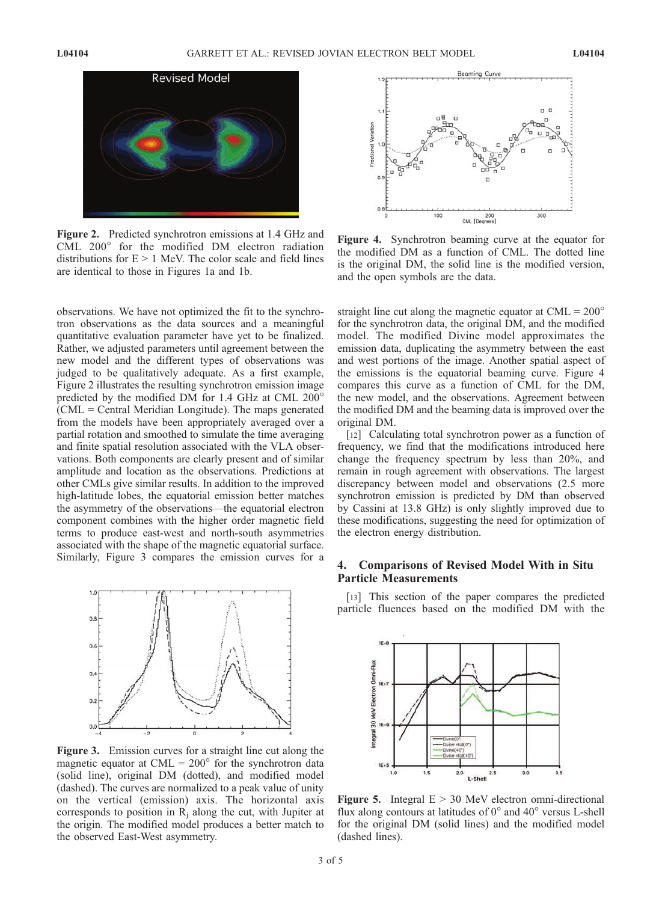

Figure 2. Predicted synchrotron emissions at 1.4 GHz and CML  $200^\circ$  for the modified DM electron radiation distributions for  $E > 1$  MeV. The color scale and field lines are identical to those in Figures 1a and 1b.

observations. We have not optimized the fit to the synchrotron observations as the data sources and a meaningful quantitative evaluation parameter have yet to be finalized. Rather, we adjusted parameters until agreement between the new model and the different types of observations was judged to be qualitatively adequate. As a first example, Figure 2 illustrates the resulting synchrotron emission image predicted by the modified DM for 1.4 GHz at CML 200 (CML = Central Meridian Longitude). The maps generated from the models have been appropriately averaged over a partial rotation and smoothed to simulate the time averaging and finite spatial resolution associated with the VLA observations. Both components are clearly present and of similar amplitude and location as the observations. Predictions at other CMLs give similar results. In addition to the improved high-latitude lobes, the equatorial emission better matches the asymmetry of the observations—the equatorial electron component combines with the higher order magnetic field terms to produce east-west and north-south asymmetries associated with the shape of the magnetic equatorial surface. Similarly, Figure 3 compares the emission curves for a



Figure 3. Emission curves for a straight line cut along the magnetic equator at  $CML = 200^{\circ}$  for the synchrotron data (solid line), original DM (dotted), and modified model (dashed). The curves are normalized to a peak value of unity on the vertical (emission) axis. The horizontal axis corresponds to position in  $R_i$  along the cut, with Jupiter at the origin. The modified model produces a better match to the observed East-West asymmetry.



Figure 4. Synchrotron beaming curve at the equator for the modified DM as a function of CML. The dotted line is the original DM, the solid line is the modified version, and the open symbols are the data.

straight line cut along the magnetic equator at  $CML = 200^{\circ}$ for the synchrotron data, the original DM, and the modified model. The modified Divine model approximates the emission data, duplicating the asymmetry between the east and west portions of the image. Another spatial aspect of the emissions is the equatorial beaming curve. Figure 4 compares this curve as a function of CML for the DM, the new model, and the observations. Agreement between the modified DM and the beaming data is improved over the original DM.

[12] Calculating total synchrotron power as a function of frequency, we find that the modifications introduced here change the frequency spectrum by less than 20%, and remain in rough agreement with observations. The largest discrepancy between model and observations (2.5 more synchrotron emission is predicted by DM than observed by Cassini at 13.8 GHz) is only slightly improved due to these modifications, suggesting the need for optimization of the electron energy distribution.

## 4. Comparisons of Revised Model With in Situ Particle Measurements

[13] This section of the paper compares the predicted particle fluences based on the modified DM with the



Figure 5. Integral  $E > 30$  MeV electron omni-directional flux along contours at latitudes of  $0^{\circ}$  and  $40^{\circ}$  versus L-shell for the original DM (solid lines) and the modified model (dashed lines).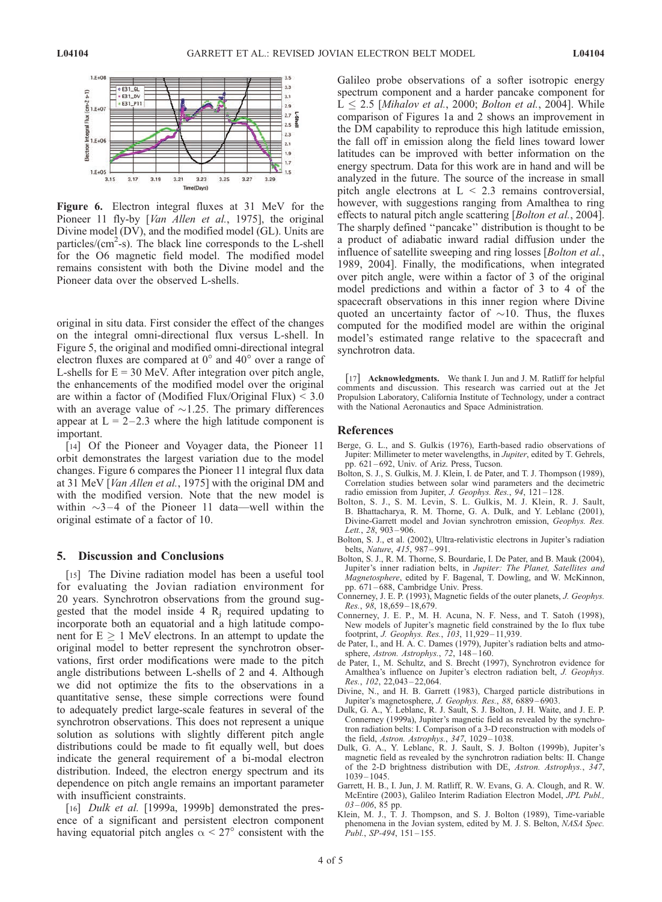

Figure 6. Electron integral fluxes at 31 MeV for the Pioneer 11 fly-by [*Van Allen et al.*, 1975], the original Divine model (DV), and the modified model (GL). Units are particles/(cm<sup>2</sup>-s). The black line corresponds to the L-shell for the O6 magnetic field model. The modified model remains consistent with both the Divine model and the Pioneer data over the observed L-shells.

original in situ data. First consider the effect of the changes on the integral omni-directional flux versus L-shell. In Figure 5, the original and modified omni-directional integral electron fluxes are compared at  $0^{\circ}$  and  $40^{\circ}$  over a range of L-shells for  $E = 30$  MeV. After integration over pitch angle, the enhancements of the modified model over the original are within a factor of (Modified Flux/Original Flux)  $\leq 3.0$ with an average value of  $\sim$ 1.25. The primary differences appear at  $L = 2-2.3$  where the high latitude component is important.

[14] Of the Pioneer and Voyager data, the Pioneer 11 orbit demonstrates the largest variation due to the model changes. Figure 6 compares the Pioneer 11 integral flux data at 31 MeV [Van Allen et al., 1975] with the original DM and with the modified version. Note that the new model is within  $\sim$ 3 – 4 of the Pioneer 11 data—well within the original estimate of a factor of 10.

#### 5. Discussion and Conclusions

[15] The Divine radiation model has been a useful tool for evaluating the Jovian radiation environment for 20 years. Synchrotron observations from the ground suggested that the model inside  $4 R_i$  required updating to incorporate both an equatorial and a high latitude component for  $E \geq 1$  MeV electrons. In an attempt to update the original model to better represent the synchrotron observations, first order modifications were made to the pitch angle distributions between L-shells of 2 and 4. Although we did not optimize the fits to the observations in a quantitative sense, these simple corrections were found to adequately predict large-scale features in several of the synchrotron observations. This does not represent a unique solution as solutions with slightly different pitch angle distributions could be made to fit equally well, but does indicate the general requirement of a bi-modal electron distribution. Indeed, the electron energy spectrum and its dependence on pitch angle remains an important parameter with insufficient constraints.

[16] *Dulk et al.* [1999a, 1999b] demonstrated the presence of a significant and persistent electron component having equatorial pitch angles  $\alpha < 27^{\circ}$  consistent with the Galileo probe observations of a softer isotropic energy spectrum component and a harder pancake component for  $L < 2.5$  [Mihalov et al., 2000; Bolton et al., 2004]. While comparison of Figures 1a and 2 shows an improvement in the DM capability to reproduce this high latitude emission, the fall off in emission along the field lines toward lower latitudes can be improved with better information on the energy spectrum. Data for this work are in hand and will be analyzed in the future. The source of the increase in small pitch angle electrons at  $L < 2.3$  remains controversial, however, with suggestions ranging from Amalthea to ring effects to natural pitch angle scattering [*Bolton et al.*, 2004]. The sharply defined ''pancake'' distribution is thought to be a product of adiabatic inward radial diffusion under the influence of satellite sweeping and ring losses [*Bolton et al.*, 1989, 2004]. Finally, the modifications, when integrated over pitch angle, were within a factor of 3 of the original model predictions and within a factor of 3 to 4 of the spacecraft observations in this inner region where Divine quoted an uncertainty factor of  $\sim$ 10. Thus, the fluxes computed for the modified model are within the original model's estimated range relative to the spacecraft and synchrotron data.

[17] Acknowledgments. We thank I. Jun and J. M. Ratliff for helpful comments and discussion. This research was carried out at the Jet Propulsion Laboratory, California Institute of Technology, under a contract with the National Aeronautics and Space Administration.

#### References

- Berge, G. L., and S. Gulkis (1976), Earth-based radio observations of Jupiter: Millimeter to meter wavelengths, in Jupiter, edited by T. Gehrels, pp. 621-692, Univ. of Ariz. Press, Tucson.
- Bolton, S. J., S. Gulkis, M. J. Klein, I. de Pater, and T. J. Thompson (1989), Correlation studies between solar wind parameters and the decimetric radio emission from Jupiter, J. Geophys. Res., 94, 121-128.
- Bolton, S. J., S. M. Levin, S. L. Gulkis, M. J. Klein, R. J. Sault, B. Bhattacharya, R. M. Thorne, G. A. Dulk, and Y. Leblanc (2001), Divine-Garrett model and Jovian synchrotron emission, Geophys. Res. Lett., 28, 903 – 906.
- Bolton, S. J., et al. (2002), Ultra-relativistic electrons in Jupiter's radiation belts, Nature, 415, 987-991.
- Bolton, S. J., R. M. Thorne, S. Bourdarie, I. De Pater, and B. Mauk (2004), Jupiter's inner radiation belts, in Jupiter: The Planet, Satellites and Magnetosphere, edited by F. Bagenal, T. Dowling, and W. McKinnon, pp. 671 – 688, Cambridge Univ. Press.
- Connerney, J. E. P. (1993), Magnetic fields of the outer planets, J. Geophys. Res., 98, 18,659 – 18,679.
- Connerney, J. E. P., M. H. Acuna, N. F. Ness, and T. Satoh (1998), New models of Jupiter's magnetic field constrained by the Io flux tube footprint, *J. Geophys. Res.*, 103, 11,929-11,939.
- de Pater, I., and H. A. C. Dames (1979), Jupiter's radiation belts and atmosphere, Astron. Astrophys., 72, 148-160.
- de Pater, I., M. Schultz, and S. Brecht (1997), Synchrotron evidence for Amalthea's influence on Jupiter's electron radiation belt, J. Geophys. Res., 102, 22,043 – 22,064.
- Divine, N., and H. B. Garrett (1983), Charged particle distributions in Jupiter's magnetosphere, J. Geophys. Res., 88, 6889 – 6903.
- Dulk, G. A., Y. Leblanc, R. J. Sault, S. J. Bolton, J. H. Waite, and J. E. P. Connerney (1999a), Jupiter's magnetic field as revealed by the synchrotron radiation belts: I. Comparison of a 3-D reconstruction with models of the field, Astron. Astrophys., 347, 1029-1038.
- Dulk, G. A., Y. Leblanc, R. J. Sault, S. J. Bolton (1999b), Jupiter's magnetic field as revealed by the synchrotron radiation belts: II. Change of the 2-D brightness distribution with DE, Astron. Astrophys., 347,  $1039 - 1045.$
- Garrett, H. B., I. Jun, J. M. Ratliff, R. W. Evans, G. A. Clough, and R. W. McEntire (2003), Galileo Interim Radiation Electron Model, JPL Publ.,  $03 - 006$ , 85 pp.
- Klein, M. J., T. J. Thompson, and S. J. Bolton (1989), Time-variable phenomena in the Jovian system, edited by M. J. S. Belton, NASA Spec.  $Publ., SP-494, 151-155.$